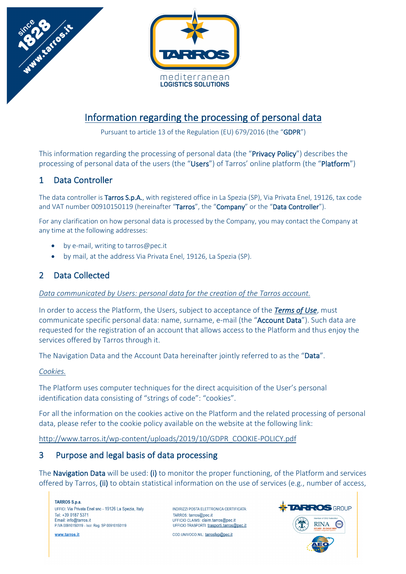

# Information regarding the processing of personal data

Pursuant to article 13 of the Regulation (EU) 679/2016 (the "GDPR")

This information regarding the processing of personal data (the "Privacy Policy") describes the processing of personal data of the users (the "Users") of Tarros' online platform (the "Platform")

# 1 Data Controller

The data controller is Tarros S.p.A., with registered office in La Spezia (SP), Via Privata Enel, 19126, tax code and VAT number 00910150119 (hereinafter "Tarros", the "Company" or the "Data Controller").

For any clarification on how personal data is processed by the Company, you may contact the Company at any time at the following addresses:

- by e-mail, writing to tarros@pec.it
- by mail, at the address Via Privata Enel, 19126, La Spezia (SP).

# 2 Data Collected

### *Data communicated by Users: personal data for the creation of the Tarros account.*

In order to access the Platform, the Users, subject to acceptance of the *Terms of Use*, must communicate specific personal data: name, surname, e-mail (the "Account Data"). Such data are requested for the registration of an account that allows access to the Platform and thus enjoy the services offered by Tarros through it.

The Navigation Data and the Account Data hereinafter jointly referred to as the "Data".

### *Cookies.*

The Platform uses computer techniques for the direct acquisition of the User's personal identification data consisting of "strings of code": "cookies".

For all the information on the cookies active on the Platform and the related processing of personal data, please refer to the cookie policy available on the website at the following link:

http://www.tarros.it/wp-content/uploads/2019/10/GDPR\_COOKIE-POLICY.pdf

## 3 Purpose and legal basis of data processing

The Navigation Data will be used: (i) to monitor the proper functioning, of the Platform and services offered by Tarros, (ii) to obtain statistical information on the use of services (e.g., number of access,

**TARROS S.p.a.** UFFICI: Via Privata Enel snc - 19126 La Spezia, Italy Tel: +39 0187 5371 Email: info@tarros.it P.IVA 00910150119 - Iscr. Reg. SP 00910150119

www.tarros.it

INDIRIZZI POSTA ELETTRONICA CERTIFICATA: TARROS: tarros@pec.it UFFICIO CLAIMS: claim.tarros@pec.it UFFICIO TRASPORTI: trasporti.tarros@pec.it COD.UNIVOCO.NIL: tarrosfep@pec.it

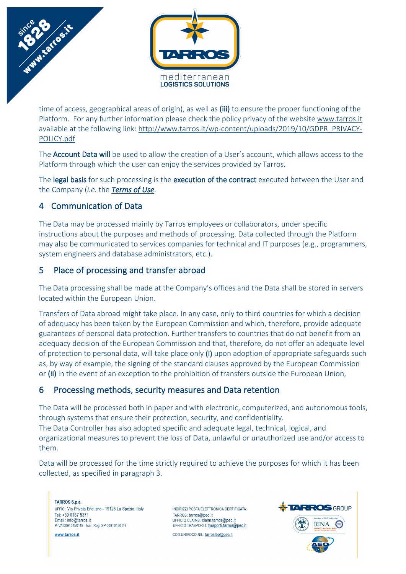

time of access, geographical areas of origin), as well as (iii) to ensure the proper functioning of the Platform. For any further information please check the policy privacy of the website www.tarros.it available at the following link: http://www.tarros.it/wp-content/uploads/2019/10/GDPR\_PRIVACY-POLICY.pdf

The Account Data will be used to allow the creation of a User's account, which allows access to the Platform through which the user can enjoy the services provided by Tarros.

The legal basis for such processing is the execution of the contract executed between the User and the Company (*i.e.* the *Terms of Use*.

# 4 Communication of Data

The Data may be processed mainly by Tarros employees or collaborators, under specific instructions about the purposes and methods of processing. Data collected through the Platform may also be communicated to services companies for technical and IT purposes (e.g., programmers, system engineers and database administrators, etc.).

# 5 Place of processing and transfer abroad

The Data processing shall be made at the Company's offices and the Data shall be stored in servers located within the European Union.

Transfers of Data abroad might take place. In any case, only to third countries for which a decision of adequacy has been taken by the European Commission and which, therefore, provide adequate guarantees of personal data protection. Further transfers to countries that do not benefit from an adequacy decision of the European Commission and that, therefore, do not offer an adequate level of protection to personal data, will take place only  $(i)$  upon adoption of appropriate safeguards such as, by way of example, the signing of the standard clauses approved by the European Commission or (ii) in the event of an exception to the prohibition of transfers outside the European Union,

# 6 Processing methods, security measures and Data retention

The Data will be processed both in paper and with electronic, computerized, and autonomous tools, through systems that ensure their protection, security, and confidentiality. The Data Controller has also adopted specific and adequate legal, technical, logical, and organizational measures to prevent the loss of Data, unlawful or unauthorized use and/or access to them.

Data will be processed for the time strictly required to achieve the purposes for which it has been collected, as specified in paragraph 3.

TARROS S.p.a. UFFICI: Via Privata Enel snc - 19126 La Spezia, Italy Tel: +39 0187 5371 Email: info@tarros.it P.IVA 00910150119 - Iscr. Reg. SP 00910150119

www.tarros.it

INDIRIZZI POSTA ELETTRONICA CERTIFICATA: TARROS: tarros@pec.it UFFICIO CLAIMS: claim.tarros@pec.it UFFICIO TRASPORTI: trasporti.tarros@pec.it

COD.UNIVOCO.NIL: tarrosfep@pec.it